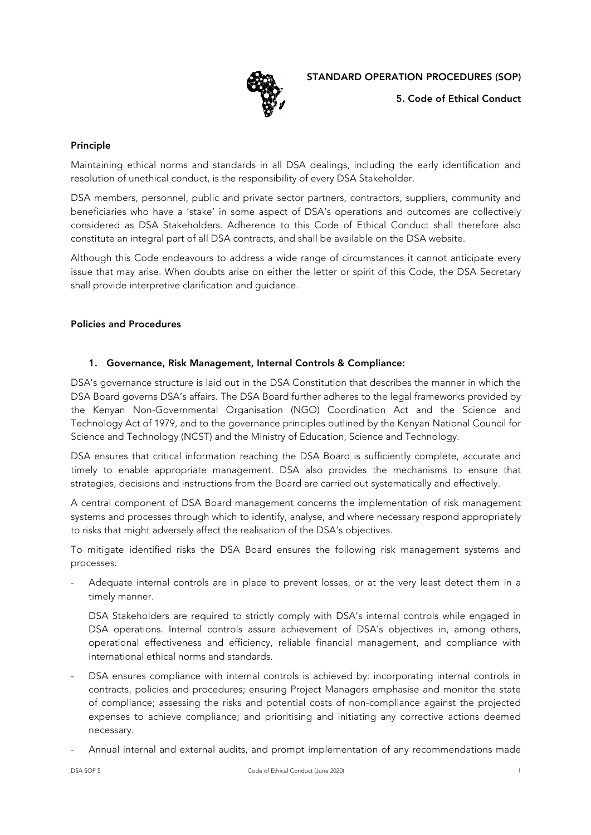

5. Code of Ethical Conduct

## Principle

Maintaining ethical norms and standards in all DSA dealings, including the early identification and resolution of unethical conduct, is the responsibility of every DSA Stakeholder.

DSA members, personnel, public and private sector partners, contractors, suppliers, community and beneficiaries who have a 'stake' in some aspect of DSA's operations and outcomes are collectively considered as DSA Stakeholders. Adherence to this Code of Ethical Conduct shall therefore also constitute an integral part of all DSA contracts, and shall be available on the DSA website.

Although this Code endeavours to address a wide range of circumstances it cannot anticipate every issue that may arise. When doubts arise on either the letter or spirit of this Code, the DSA Secretary shall provide interpretive clarification and guidance.

#### Policies and Procedures

## 1. Governance, Risk Management, Internal Controls & Compliance:

DSA's governance structure is laid out in the DSA Constitution that describes the manner in which the DSA Board governs DSA's affairs. The DSA Board further adheres to the legal frameworks provided by the Kenyan Non-Governmental Organisation (NGO) Coordination Act and the Science and Technology Act of 1979, and to the governance principles outlined by the Kenyan National Council for Science and Technology (NCST) and the Ministry of Education, Science and Technology.

DSA ensures that critical information reaching the DSA Board is sufficiently complete, accurate and timely to enable appropriate management. DSA also provides the mechanisms to ensure that strategies, decisions and instructions from the Board are carried out systematically and effectively.

A central component of DSA Board management concerns the implementation of risk management systems and processes through which to identify, analyse, and where necessary respond appropriately to risks that might adversely affect the realisation of the DSA's objectives.

To mitigate identified risks the DSA Board ensures the following risk management systems and processes:

Adequate internal controls are in place to prevent losses, or at the very least detect them in a timely manner.

DSA Stakeholders are required to strictly comply with DSA's internal controls while engaged in DSA operations. Internal controls assure achievement of DSA's objectives in, among others, operational effectiveness and efficiency, reliable financial management, and compliance with international ethical norms and standards.

- DSA ensures compliance with internal controls is achieved by: incorporating internal controls in contracts, policies and procedures; ensuring Project Managers emphasise and monitor the state of compliance; assessing the risks and potential costs of non-compliance against the projected expenses to achieve compliance; and prioritising and initiating any corrective actions deemed necessary.
- Annual internal and external audits, and prompt implementation of any recommendations made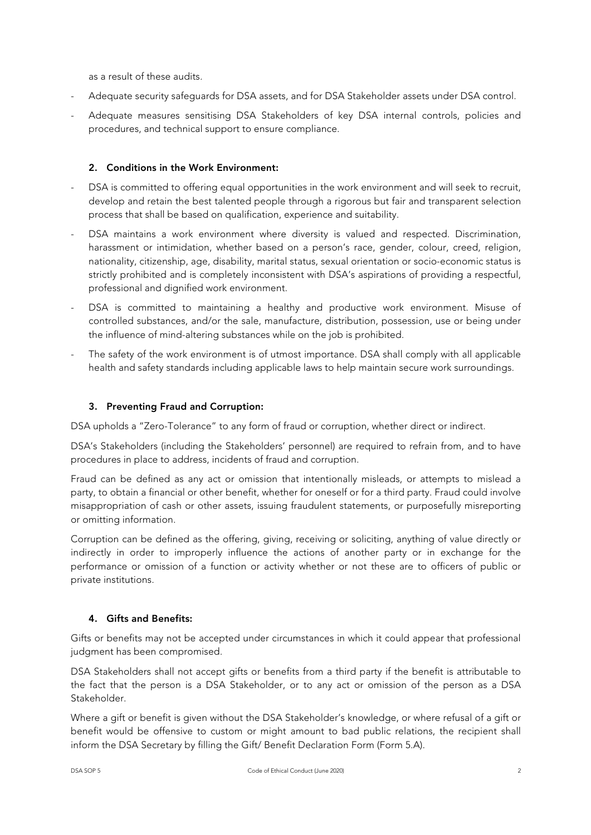as a result of these audits.

- Adequate security safeguards for DSA assets, and for DSA Stakeholder assets under DSA control.
- Adequate measures sensitising DSA Stakeholders of key DSA internal controls, policies and procedures, and technical support to ensure compliance.

## 2. Conditions in the Work Environment:

- DSA is committed to offering equal opportunities in the work environment and will seek to recruit, develop and retain the best talented people through a rigorous but fair and transparent selection process that shall be based on qualification, experience and suitability.
- DSA maintains a work environment where diversity is valued and respected. Discrimination, harassment or intimidation, whether based on a person's race, gender, colour, creed, religion, nationality, citizenship, age, disability, marital status, sexual orientation or socio-economic status is strictly prohibited and is completely inconsistent with DSA's aspirations of providing a respectful, professional and dignified work environment.
- DSA is committed to maintaining a healthy and productive work environment. Misuse of controlled substances, and/or the sale, manufacture, distribution, possession, use or being under the influence of mind-altering substances while on the job is prohibited.
- The safety of the work environment is of utmost importance. DSA shall comply with all applicable health and safety standards including applicable laws to help maintain secure work surroundings.

## 3. Preventing Fraud and Corruption:

DSA upholds a "Zero-Tolerance" to any form of fraud or corruption, whether direct or indirect.

DSA's Stakeholders (including the Stakeholders' personnel) are required to refrain from, and to have procedures in place to address, incidents of fraud and corruption.

Fraud can be defined as any act or omission that intentionally misleads, or attempts to mislead a party, to obtain a financial or other benefit, whether for oneself or for a third party. Fraud could involve misappropriation of cash or other assets, issuing fraudulent statements, or purposefully misreporting or omitting information.

Corruption can be defined as the offering, giving, receiving or soliciting, anything of value directly or indirectly in order to improperly influence the actions of another party or in exchange for the performance or omission of a function or activity whether or not these are to officers of public or private institutions.

## 4. Gifts and Benefits:

Gifts or benefits may not be accepted under circumstances in which it could appear that professional judgment has been compromised.

DSA Stakeholders shall not accept gifts or benefits from a third party if the benefit is attributable to the fact that the person is a DSA Stakeholder, or to any act or omission of the person as a DSA Stakeholder.

Where a gift or benefit is given without the DSA Stakeholder's knowledge, or where refusal of a gift or benefit would be offensive to custom or might amount to bad public relations, the recipient shall inform the DSA Secretary by filling the Gift/ Benefit Declaration Form (Form 5.A).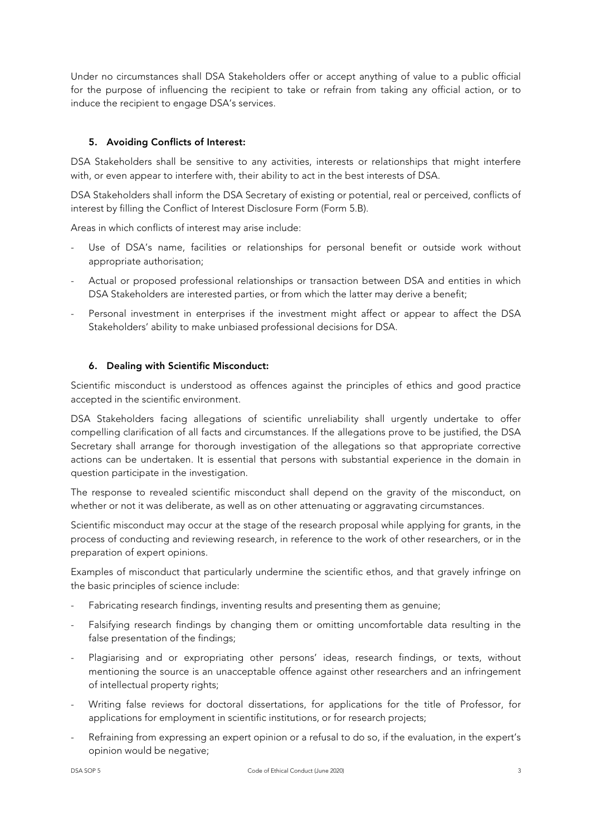Under no circumstances shall DSA Stakeholders offer or accept anything of value to a public official for the purpose of influencing the recipient to take or refrain from taking any official action, or to induce the recipient to engage DSA's services.

# 5. Avoiding Conflicts of Interest:

DSA Stakeholders shall be sensitive to any activities, interests or relationships that might interfere with, or even appear to interfere with, their ability to act in the best interests of DSA.

DSA Stakeholders shall inform the DSA Secretary of existing or potential, real or perceived, conflicts of interest by filling the Conflict of Interest Disclosure Form (Form 5.B).

Areas in which conflicts of interest may arise include:

- Use of DSA's name, facilities or relationships for personal benefit or outside work without appropriate authorisation;
- Actual or proposed professional relationships or transaction between DSA and entities in which DSA Stakeholders are interested parties, or from which the latter may derive a benefit;
- Personal investment in enterprises if the investment might affect or appear to affect the DSA Stakeholders' ability to make unbiased professional decisions for DSA.

## 6. Dealing with Scientific Misconduct:

Scientific misconduct is understood as offences against the principles of ethics and good practice accepted in the scientific environment.

DSA Stakeholders facing allegations of scientific unreliability shall urgently undertake to offer compelling clarification of all facts and circumstances. If the allegations prove to be justified, the DSA Secretary shall arrange for thorough investigation of the allegations so that appropriate corrective actions can be undertaken. It is essential that persons with substantial experience in the domain in question participate in the investigation.

The response to revealed scientific misconduct shall depend on the gravity of the misconduct, on whether or not it was deliberate, as well as on other attenuating or aggravating circumstances.

Scientific misconduct may occur at the stage of the research proposal while applying for grants, in the process of conducting and reviewing research, in reference to the work of other researchers, or in the preparation of expert opinions.

Examples of misconduct that particularly undermine the scientific ethos, and that gravely infringe on the basic principles of science include:

- Fabricating research findings, inventing results and presenting them as genuine;
- Falsifying research findings by changing them or omitting uncomfortable data resulting in the false presentation of the findings;
- Plagiarising and or expropriating other persons' ideas, research findings, or texts, without mentioning the source is an unacceptable offence against other researchers and an infringement of intellectual property rights;
- Writing false reviews for doctoral dissertations, for applications for the title of Professor, for applications for employment in scientific institutions, or for research projects;
- Refraining from expressing an expert opinion or a refusal to do so, if the evaluation, in the expert's opinion would be negative;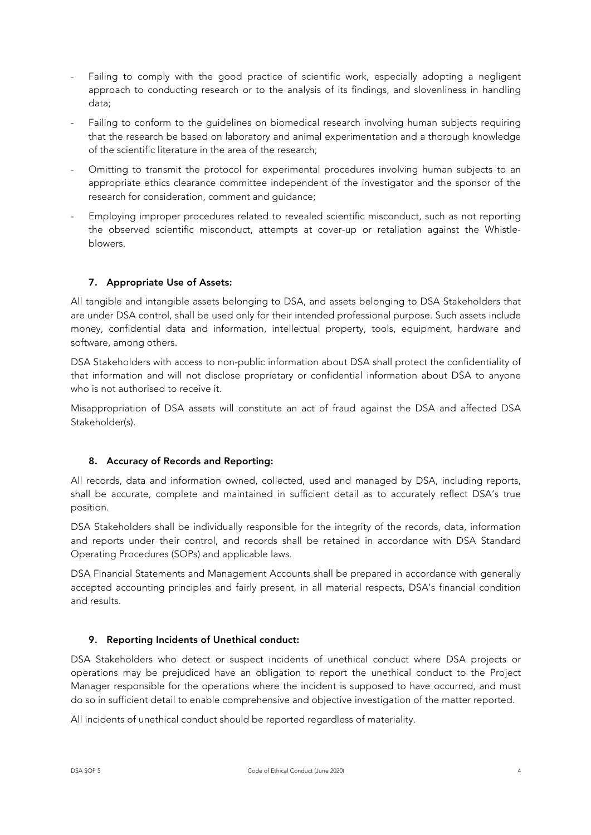- Failing to comply with the good practice of scientific work, especially adopting a negligent approach to conducting research or to the analysis of its findings, and slovenliness in handling data;
- Failing to conform to the guidelines on biomedical research involving human subjects requiring that the research be based on laboratory and animal experimentation and a thorough knowledge of the scientific literature in the area of the research;
- Omitting to transmit the protocol for experimental procedures involving human subjects to an appropriate ethics clearance committee independent of the investigator and the sponsor of the research for consideration, comment and guidance;
- Employing improper procedures related to revealed scientific misconduct, such as not reporting the observed scientific misconduct, attempts at cover-up or retaliation against the Whistleblowers.

# 7. Appropriate Use of Assets:

All tangible and intangible assets belonging to DSA, and assets belonging to DSA Stakeholders that are under DSA control, shall be used only for their intended professional purpose. Such assets include money, confidential data and information, intellectual property, tools, equipment, hardware and software, among others.

DSA Stakeholders with access to non-public information about DSA shall protect the confidentiality of that information and will not disclose proprietary or confidential information about DSA to anyone who is not authorised to receive it.

Misappropriation of DSA assets will constitute an act of fraud against the DSA and affected DSA Stakeholder(s).

## 8. Accuracy of Records and Reporting:

All records, data and information owned, collected, used and managed by DSA, including reports, shall be accurate, complete and maintained in sufficient detail as to accurately reflect DSA's true position.

DSA Stakeholders shall be individually responsible for the integrity of the records, data, information and reports under their control, and records shall be retained in accordance with DSA Standard Operating Procedures (SOPs) and applicable laws.

DSA Financial Statements and Management Accounts shall be prepared in accordance with generally accepted accounting principles and fairly present, in all material respects, DSA's financial condition and results.

## 9. Reporting Incidents of Unethical conduct:

DSA Stakeholders who detect or suspect incidents of unethical conduct where DSA projects or operations may be prejudiced have an obligation to report the unethical conduct to the Project Manager responsible for the operations where the incident is supposed to have occurred, and must do so in sufficient detail to enable comprehensive and objective investigation of the matter reported.

All incidents of unethical conduct should be reported regardless of materiality.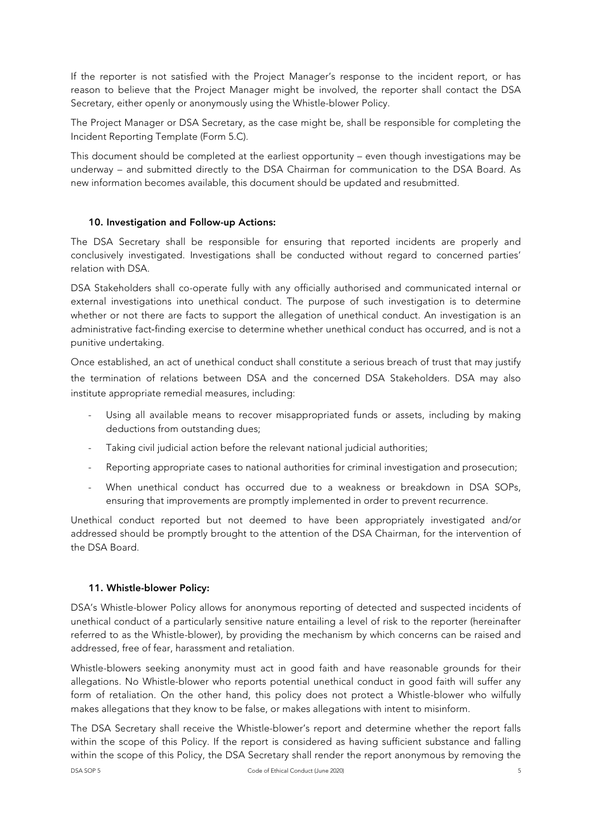If the reporter is not satisfied with the Project Manager's response to the incident report, or has reason to believe that the Project Manager might be involved, the reporter shall contact the DSA Secretary, either openly or anonymously using the Whistle-blower Policy.

The Project Manager or DSA Secretary, as the case might be, shall be responsible for completing the Incident Reporting Template (Form 5.C).

This document should be completed at the earliest opportunity – even though investigations may be underway – and submitted directly to the DSA Chairman for communication to the DSA Board. As new information becomes available, this document should be updated and resubmitted.

## 10. Investigation and Follow-up Actions:

The DSA Secretary shall be responsible for ensuring that reported incidents are properly and conclusively investigated. Investigations shall be conducted without regard to concerned parties' relation with DSA.

DSA Stakeholders shall co-operate fully with any officially authorised and communicated internal or external investigations into unethical conduct. The purpose of such investigation is to determine whether or not there are facts to support the allegation of unethical conduct. An investigation is an administrative fact-finding exercise to determine whether unethical conduct has occurred, and is not a punitive undertaking.

Once established, an act of unethical conduct shall constitute a serious breach of trust that may justify the termination of relations between DSA and the concerned DSA Stakeholders. DSA may also institute appropriate remedial measures, including:

- Using all available means to recover misappropriated funds or assets, including by making deductions from outstanding dues;
- Taking civil judicial action before the relevant national judicial authorities;
- Reporting appropriate cases to national authorities for criminal investigation and prosecution;
- When unethical conduct has occurred due to a weakness or breakdown in DSA SOPs, ensuring that improvements are promptly implemented in order to prevent recurrence.

Unethical conduct reported but not deemed to have been appropriately investigated and/or addressed should be promptly brought to the attention of the DSA Chairman, for the intervention of the DSA Board.

#### 11. Whistle-blower Policy:

DSA's Whistle-blower Policy allows for anonymous reporting of detected and suspected incidents of unethical conduct of a particularly sensitive nature entailing a level of risk to the reporter (hereinafter referred to as the Whistle-blower), by providing the mechanism by which concerns can be raised and addressed, free of fear, harassment and retaliation.

Whistle-blowers seeking anonymity must act in good faith and have reasonable grounds for their allegations. No Whistle-blower who reports potential unethical conduct in good faith will suffer any form of retaliation. On the other hand, this policy does not protect a Whistle-blower who wilfully makes allegations that they know to be false, or makes allegations with intent to misinform.

DSA SOP 5 Code of Ethical Conduct (June 2020) 5 The DSA Secretary shall receive the Whistle-blower's report and determine whether the report falls within the scope of this Policy. If the report is considered as having sufficient substance and falling within the scope of this Policy, the DSA Secretary shall render the report anonymous by removing the